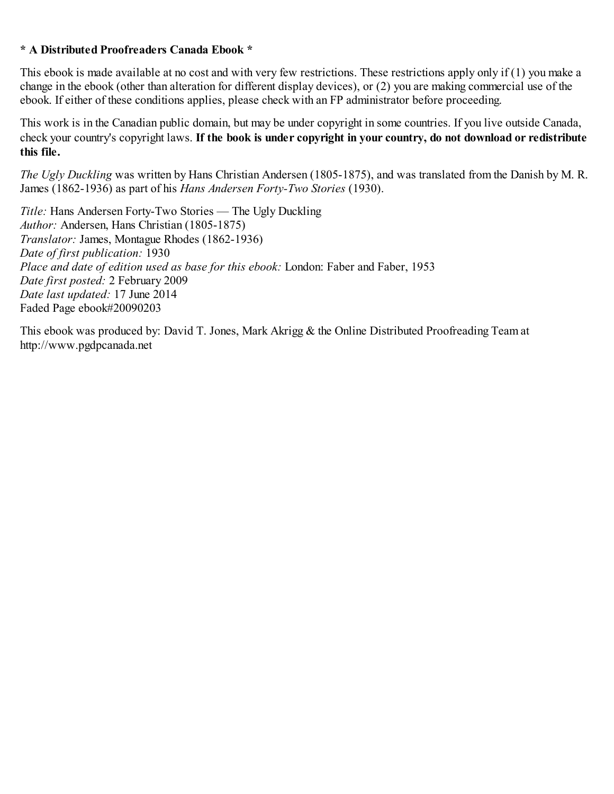#### **\* A Distributed Proofreaders Canada Ebook \***

This ebook is made available at no cost and with very few restrictions. These restrictions apply only if (1) you make a change in the ebook (other than alteration for different display devices), or (2) you are making commercial use of the ebook. If either of these conditions applies, please check with an FP administrator before proceeding.

This work is in the Canadian public domain, but may be under copyright in some countries. If you live outside Canada, check your country's copyright laws. **If the book is under copyright in your country, do not download or redistribute this file.**

*The Ugly Duckling* was written by Hans Christian Andersen (1805-1875), and was translated from the Danish by M. R. James (1862-1936) as part of his *Hans Andersen Forty-Two Stories* (1930).

*Title:* Hans Andersen Forty-Two Stories — The Ugly Duckling *Author:* Andersen, Hans Christian (1805-1875) *Translator:* James, Montague Rhodes (1862-1936) *Date of first publication:* 1930 *Place and date of edition used as base for this ebook:* London: Faber and Faber, 1953 *Date first posted:* 2 February 2009 *Date last updated:* 17 June 2014 Faded Page ebook#20090203

This ebook was produced by: David T. Jones, Mark Akrigg & the Online Distributed Proofreading Team at http://www.pgdpcanada.net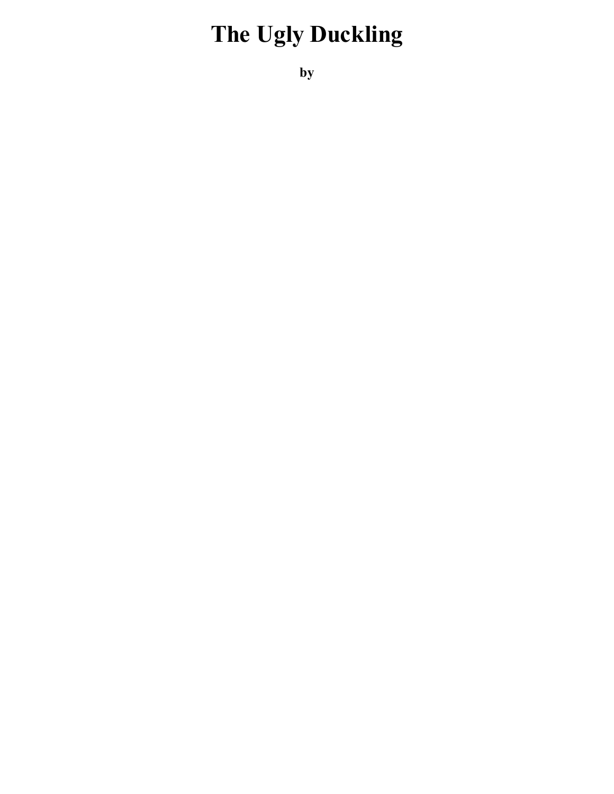# **The Ugly Duckling**

**by**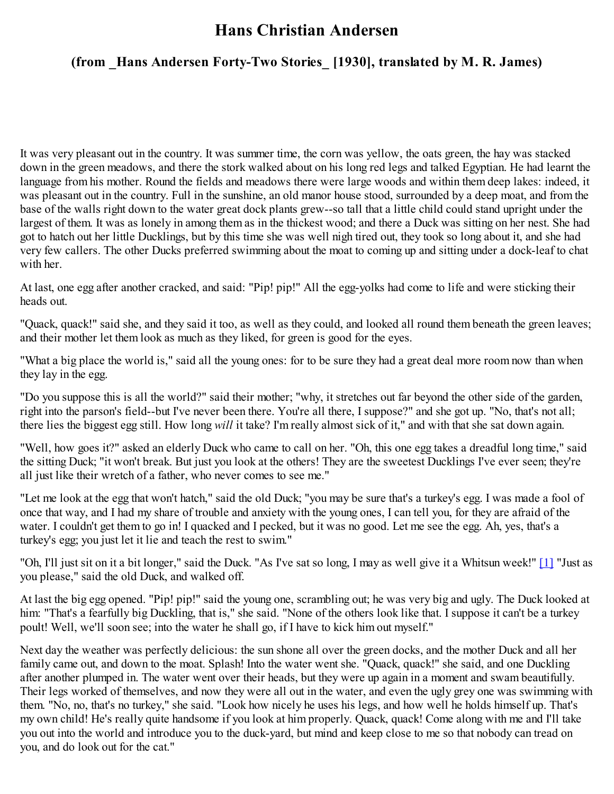## **Hans Christian Andersen**

## **(from \_Hans Andersen Forty-Two Stories\_ [1930], translated by M. R. James)**

It was very pleasant out in the country. It was summer time, the corn was yellow, the oats green, the hay was stacked down in the green meadows, and there the stork walked about on his long red legs and talked Egyptian. He had learnt the language from his mother. Round the fields and meadows there were large woods and within them deep lakes: indeed, it was pleasant out in the country. Full in the sunshine, an old manor house stood, surrounded by a deep moat, and from the base of the walls right down to the water great dock plants grew--so tall that a little child could stand upright under the largest of them. It was as lonely in among them as in the thickest wood; and there a Duck was sitting on her nest. She had got to hatch out her little Ducklings, but by this time she was well nigh tired out, they took so long about it, and she had very few callers. The other Ducks preferred swimming about the moat to coming up and sitting under a dock-leaf to chat with her.

At last, one egg after another cracked, and said: "Pip! pip!" All the egg-yolks had come to life and were sticking their heads out.

"Quack, quack!" said she, and they said it too, as well as they could, and looked all round them beneath the green leaves; and their mother let them look as much as they liked, for green is good for the eyes.

"What a big place the world is," said all the young ones: for to be sure they had a great deal more room now than when they lay in the egg.

"Do you suppose this is all the world?" said their mother; "why, it stretches out far beyond the other side of the garden, right into the parson's field--but I've never been there. You're all there, I suppose?" and she got up. "No, that's not all; there lies the biggest egg still. How long *will* it take? I'm really almost sick of it," and with that she sat down again.

"Well, how goes it?" asked an elderly Duck who came to call on her. "Oh, this one egg takes a dreadful long time," said the sitting Duck; "it won't break. But just you look at the others! They are the sweetest Ducklings I've ever seen; they're all just like their wretch of a father, who never comes to see me."

"Let me look at the egg that won't hatch," said the old Duck; "you may be sure that's a turkey's egg. I was made a fool of once that way, and I had my share of trouble and anxiety with the young ones, I can tell you, for they are afraid of the water. I couldn't get them to go in! I quacked and I pecked, but it was no good. Let me see the egg. Ah, yes, that's a turkey's egg; you just let it lie and teach the rest to swim."

"Oh, I'll just sit on it a bit longer," said the Duck. "As I've sat so long, I may as well give it a Whitsun week!" [\[1\]](#page-6-0) "Just as you please," said the old Duck, and walked off.

At last the big egg opened. "Pip! pip!" said the young one, scrambling out; he was very big and ugly. The Duck looked at him: "That's a fearfully big Duckling, that is," she said. "None of the others look like that. I suppose it can't be a turkey poult! Well, we'll soon see; into the water he shall go, if I have to kick him out myself."

Next day the weather was perfectly delicious: the sun shone all over the green docks, and the mother Duck and all her family came out, and down to the moat. Splash! Into the water went she. "Quack, quack!" she said, and one Duckling after another plumped in. The water went over their heads, but they were up again in a moment and swam beautifully. Their legs worked of themselves, and now they were all out in the water, and even the ugly grey one was swimming with them. "No, no, that's no turkey," she said. "Look how nicely he uses his legs, and how well he holds himself up. That's my own child! He's really quite handsome if you look at him properly. Quack, quack! Come along with me and I'll take you out into the world and introduce you to the duck-yard, but mind and keep close to me so that nobody can tread on you, and do look out for the cat."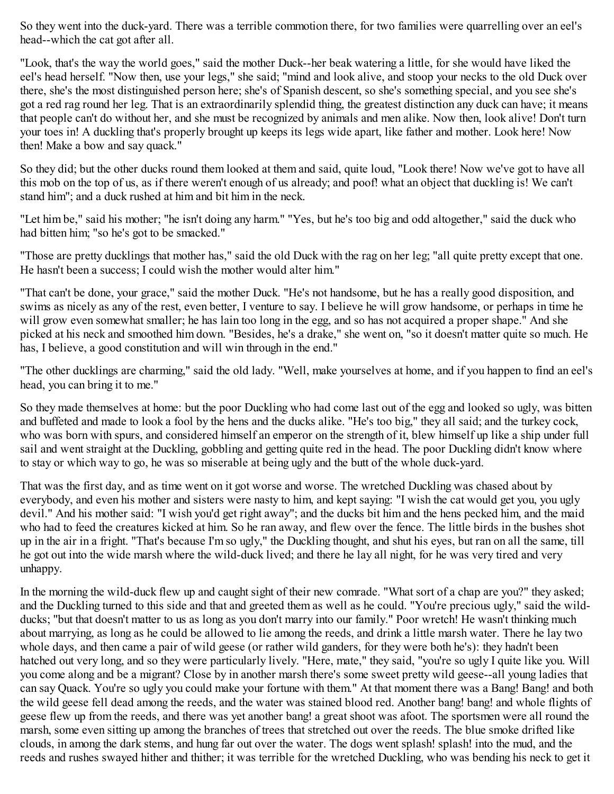So they went into the duck-yard. There was a terrible commotion there, for two families were quarrelling over an eel's head--which the cat got after all.

"Look, that's the way the world goes," said the mother Duck--her beak watering a little, for she would have liked the eel's head herself. "Now then, use your legs," she said; "mind and look alive, and stoop your necks to the old Duck over there, she's the most distinguished person here; she's of Spanish descent, so she's something special, and you see she's got a red rag round her leg. That is an extraordinarily splendid thing, the greatest distinction any duck can have; it means that people can't do without her, and she must be recognized by animals and men alike. Now then, look alive! Don't turn your toes in! A duckling that's properly brought up keeps its legs wide apart, like father and mother. Look here! Now then! Make a bow and say quack."

So they did; but the other ducks round them looked at them and said, quite loud, "Look there! Now we've got to have all this mob on the top of us, as if there weren't enough of us already; and poof! what an object that duckling is! We can't stand him"; and a duck rushed at him and bit him in the neck.

"Let him be," said his mother; "he isn't doing any harm." "Yes, but he's too big and odd altogether," said the duck who had bitten him; "so he's got to be smacked."

"Those are pretty ducklings that mother has," said the old Duck with the rag on her leg; "all quite pretty except that one. He hasn't been a success; I could wish the mother would alter him."

"That can't be done, your grace," said the mother Duck. "He's not handsome, but he has a really good disposition, and swims as nicely as any of the rest, even better, I venture to say. I believe he will grow handsome, or perhaps in time he will grow even somewhat smaller; he has lain too long in the egg, and so has not acquired a proper shape." And she picked at his neck and smoothed him down. "Besides, he's a drake," she went on, "so it doesn't matter quite so much. He has, I believe, a good constitution and will win through in the end."

"The other ducklings are charming," said the old lady. "Well, make yourselves at home, and if you happen to find an eel's head, you can bring it to me."

So they made themselves at home: but the poor Duckling who had come last out of the egg and looked so ugly, was bitten and buffeted and made to look a fool by the hens and the ducks alike. "He's too big," they all said; and the turkey cock, who was born with spurs, and considered himself an emperor on the strength of it, blew himself up like a ship under full sail and went straight at the Duckling, gobbling and getting quite red in the head. The poor Duckling didn't know where to stay or which way to go, he was so miserable at being ugly and the butt of the whole duck-yard.

That was the first day, and as time went on it got worse and worse. The wretched Duckling was chased about by everybody, and even his mother and sisters were nasty to him, and kept saying: "I wish the cat would get you, you ugly devil." And his mother said: "I wish you'd get right away"; and the ducks bit him and the hens pecked him, and the maid who had to feed the creatures kicked at him. So he ran away, and flew over the fence. The little birds in the bushes shot up in the air in a fright. "That's because I'm so ugly," the Duckling thought, and shut his eyes, but ran on all the same, till he got out into the wide marsh where the wild-duck lived; and there he lay all night, for he was very tired and very unhappy.

In the morning the wild-duck flew up and caught sight of their new comrade. "What sort of a chap are you?" they asked; and the Duckling turned to this side and that and greeted them as well as he could. "You're precious ugly," said the wildducks: "but that doesn't matter to us as long as you don't marry into our family." Poor wretch! He wasn't thinking much about marrying, as long as he could be allowed to lie among the reeds, and drink a little marsh water. There he lay two whole days, and then came a pair of wild geese (or rather wild ganders, for they were both he's): they hadn't been hatched out very long, and so they were particularly lively. "Here, mate," they said, "you're so ugly I quite like you. Will you come along and be a migrant? Close by in another marsh there's some sweet pretty wild geese--all young ladies that can say Quack. You're so ugly you could make your fortune with them." At that moment there was a Bang! Bang! and both the wild geese fell dead among the reeds, and the water was stained blood red. Another bang! bang! and whole flights of geese flew up from the reeds, and there was yet another bang! a great shoot was afoot. The sportsmen were all round the marsh, some even sitting up among the branches of trees that stretched out over the reeds. The blue smoke drifted like clouds, in among the dark stems, and hung far out over the water. The dogs went splash! splash! into the mud, and the reeds and rushes swayed hither and thither; it was terrible for the wretched Duckling, who was bending his neck to get it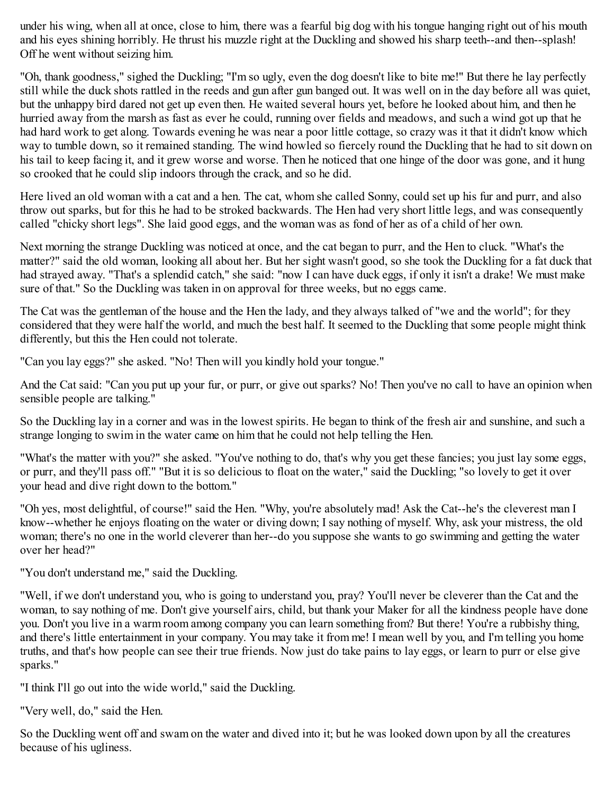under his wing, when all at once, close to him, there was a fearful big dog with his tongue hanging right out of his mouth and his eyes shining horribly. He thrust his muzzle right at the Duckling and showed his sharp teeth--and then--splash! Off he went without seizing him.

"Oh, thank goodness," sighed the Duckling; "I'm so ugly, even the dog doesn't like to bite me!" But there he lay perfectly still while the duck shots rattled in the reeds and gun after gun banged out. It was well on in the day before all was quiet, but the unhappy bird dared not get up even then. He waited several hours yet, before he looked about him, and then he hurried away from the marsh as fast as ever he could, running over fields and meadows, and such a wind got up that he had hard work to get along. Towards evening he was near a poor little cottage, so crazy was it that it didn't know which way to tumble down, so it remained standing. The wind howled so fiercely round the Duckling that he had to sit down on his tail to keep facing it, and it grew worse and worse. Then he noticed that one hinge of the door was gone, and it hung so crooked that he could slip indoors through the crack, and so he did.

Here lived an old woman with a cat and a hen. The cat, whom she called Sonny, could set up his fur and purr, and also throw out sparks, but for this he had to be stroked backwards. The Hen had very short little legs, and was consequently called "chicky short legs". She laid good eggs, and the woman was as fond of her as of a child of her own.

Next morning the strange Duckling was noticed at once, and the cat began to purr, and the Hen to cluck. "What's the matter?" said the old woman, looking all about her. But her sight wasn't good, so she took the Duckling for a fat duck that had strayed away. "That's a splendid catch," she said: "now I can have duck eggs, if only it isn't a drake! We must make sure of that." So the Duckling was taken in on approval for three weeks, but no eggs came.

The Cat was the gentleman of the house and the Hen the lady, and they always talked of "we and the world"; for they considered that they were half the world, and much the best half. It seemed to the Duckling that some people might think differently, but this the Hen could not tolerate.

"Can you lay eggs?" she asked. "No! Then will you kindly hold your tongue."

And the Cat said: "Can you put up your fur, or purr, or give out sparks? No! Then you've no call to have an opinion when sensible people are talking."

So the Duckling lay in a corner and was in the lowest spirits. He began to think of the fresh air and sunshine, and such a strange longing to swim in the water came on him that he could not help telling the Hen.

"What's the matter with you?" she asked. "You've nothing to do, that's why you get these fancies; you just lay some eggs, or purr, and they'll pass off." "But it is so delicious to float on the water," said the Duckling; "so lovely to get it over your head and dive right down to the bottom."

"Oh yes, most delightful, of course!" said the Hen. "Why, you're absolutely mad! Ask the Cat--he's the cleverest man I know--whether he enjoys floating on the water or diving down; I say nothing of myself. Why, ask your mistress, the old woman; there's no one in the world cleverer than her--do you suppose she wants to go swimming and getting the water over her head?"

"You don't understand me," said the Duckling.

"Well, if we don't understand you, who is going to understand you, pray? You'll never be cleverer than the Cat and the woman, to say nothing of me. Don't give yourself airs, child, but thank your Maker for all the kindness people have done you. Don't you live in a warm room among company you can learn something from? But there! You're a rubbishy thing, and there's little entertainment in your company. You may take it from me! I mean well by you, and I'm telling you home truths, and that's how people can see their true friends. Now just do take pains to lay eggs, or learn to purr or else give sparks."

"I think I'll go out into the wide world," said the Duckling.

"Very well, do," said the Hen.

So the Duckling went off and swam on the water and dived into it; but he was looked down upon by all the creatures because of his ugliness.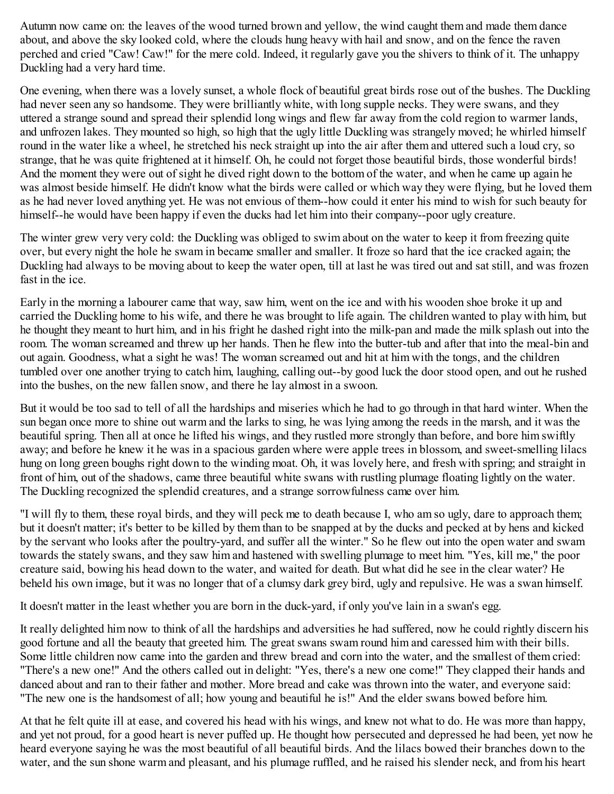Autumn now came on: the leaves of the wood turned brown and yellow, the wind caught them and made them dance about, and above the sky looked cold, where the clouds hung heavy with hail and snow, and on the fence the raven perched and cried "Caw! Caw!" for the mere cold. Indeed, it regularly gave you the shivers to think of it. The unhappy Duckling had a very hard time.

One evening, when there was a lovely sunset, a whole flock of beautiful great birds rose out of the bushes. The Duckling had never seen any so handsome. They were brilliantly white, with long supple necks. They were swans, and they uttered a strange sound and spread their splendid long wings and flew far away from the cold region to warmer lands, and unfrozen lakes. They mounted so high, so high that the ugly little Duckling was strangely moved; he whirled himself round in the water like a wheel, he stretched his neck straight up into the air after them and uttered such a loud cry, so strange, that he was quite frightened at it himself. Oh, he could not forget those beautiful birds, those wonderful birds! And the moment they were out of sight he dived right down to the bottom of the water, and when he came up again he was almost beside himself. He didn't know what the birds were called or which way they were flying, but he loved them as he had never loved anything yet. He was not envious of them--how could it enter his mind to wish for such beauty for himself--he would have been happy if even the ducks had let him into their company--poor ugly creature.

The winter grew very very cold: the Duckling was obliged to swim about on the water to keep it from freezing quite over, but every night the hole he swam in became smaller and smaller. It froze so hard that the ice cracked again; the Duckling had always to be moving about to keep the water open, till at last he was tired out and sat still, and was frozen fast in the ice.

Early in the morning a labourer came that way, saw him, went on the ice and with his wooden shoe broke it up and carried the Duckling home to his wife, and there he was brought to life again. The children wanted to play with him, but he thought they meant to hurt him, and in his fright he dashed right into the milk-pan and made the milk splash out into the room. The woman screamed and threw up her hands. Then he flew into the butter-tub and after that into the meal-bin and out again. Goodness, what a sight he was! The woman screamed out and hit at him with the tongs, and the children tumbled over one another trying to catch him, laughing, calling out--by good luck the door stood open, and out he rushed into the bushes, on the new fallen snow, and there he lay almost in a swoon.

But it would be too sad to tell of all the hardships and miseries which he had to go through in that hard winter. When the sun began once more to shine out warm and the larks to sing, he was lying among the reeds in the marsh, and it was the beautiful spring. Then all at once he lifted his wings, and they rustled more strongly than before, and bore him swiftly away; and before he knew it he was in a spacious garden where were apple trees in blossom, and sweet-smelling lilacs hung on long green boughs right down to the winding moat. Oh, it was lovely here, and fresh with spring; and straight in front of him, out of the shadows, came three beautiful white swans with rustling plumage floating lightly on the water. The Duckling recognized the splendid creatures, and a strange sorrowfulness came over him.

"I will fly to them, these royal birds, and they will peck me to death because I, who am so ugly, dare to approach them; but it doesn't matter; it's better to be killed by them than to be snapped at by the ducks and pecked at by hens and kicked by the servant who looks after the poultry-yard, and suffer all the winter." So he flew out into the open water and swam towards the stately swans, and they saw him and hastened with swelling plumage to meet him. "Yes, kill me," the poor creature said, bowing his head down to the water, and waited for death. But what did he see in the clear water? He beheld his own image, but it was no longer that of a clumsy dark grey bird, ugly and repulsive. He was a swan himself.

It doesn't matter in the least whether you are born in the duck-yard, if only you've lain in a swan's egg.

It really delighted him now to think of all the hardships and adversities he had suffered, now he could rightly discern his good fortune and all the beauty that greeted him. The great swans swam round him and caressed him with their bills. Some little children now came into the garden and threw bread and corn into the water, and the smallest of them cried: "There's a new one!" And the others called out in delight: "Yes, there's a new one come!" They clapped their hands and danced about and ran to their father and mother. More bread and cake was thrown into the water, and everyone said: "The new one is the handsomest of all; how young and beautiful he is!" And the elder swans bowed before him.

At that he felt quite ill at ease, and covered his head with his wings, and knew not what to do. He was more than happy, and yet not proud, for a good heart is never puffed up. He thought how persecuted and depressed he had been, yet now he heard everyone saying he was the most beautiful of all beautiful birds. And the lilacs bowed their branches down to the water, and the sun shone warm and pleasant, and his plumage ruffled, and he raised his slender neck, and from his heart